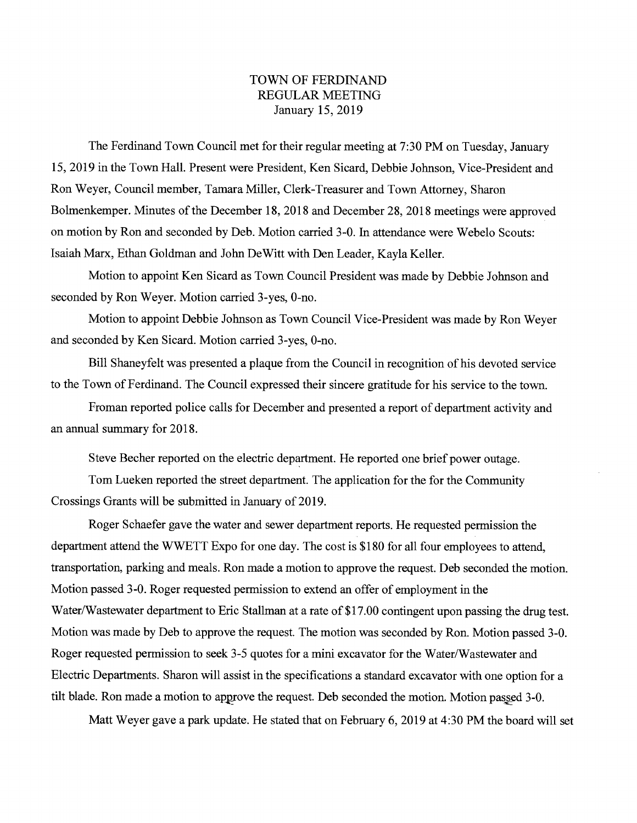## TOWN OF FERDINAND REGULAR MEETING January 15, 2019

The Ferdinand Town Council met for their regular meeting at 7:30 PM on Tuesday, January 15, 2019 in the Town Hall. Present were President, Ken Sicard, Debbie Johnson, Vice-President and Ron Weyer, Council member, Tamara Miller, Clerk-Treasurer and Town Attorney, Sharon Bolmenkemper. Minutes of the December 18, 2018 and December 28, 2018 meetings were approved on motion by Ron and seconded by Deb. Motion carried 3-0. In attendance were Webelo Scouts: Isaiah Marx, Ethan Goldman and John DeWitt with Den Leader, Kayla Keller.

Motion to appoint Ken Sicard as Town Council President was made by Debbie Johnson and seconded by Ron Weyer. Motion carried 3-yes, 0-no.

Motion to appoint Debbie Johnson as Town Council Vice-President was made by Ron Weyer and seconded by Ken Sicard. Motion carried 3-yes, 0-no.

Bill Shaneyfelt was presented a plaque from the Council in recognition of his devoted service to the Town of Ferdinand. The Council expressed their sincere gratitude for his service to the town.

Froman reported police calls for December and presented a report of department activity and an annual summary for 2018.

Steve Becher reported on the electric department. He reported one brief power outage.

Tom Lueken reported the street department. The application for the for the Community Crossings Grants will be submitted in January of 2019.

Roger Schaefer gave the water and sewer department reports. He requested permission the department attend the WWETT Expo for one day. The cost is \$180 for all four employees to attend, transportation, parking and meals. Ron made a motion to approve the request. Deb seconded the motion. Motion passed 3-0. Roger requested permission to extend an offer of employment in the Water/Wastewater department to Eric Stallman at a rate of \$17.00 contingent upon passing the drug test. Motion was made by Deb to approve the request. The motion was seconded by Ron. Motion passed 3-0. Roger requested permission to seek 3-5 quotes for a mini excavator for the Water/Wastewater and Electric Departments. Sharon will assist in the specifications a standard excavator with one option for a tilt blade. Ron made a motion to approve the request. Deb seconded the motion. Motion passed 3-0.

Matt Weyer gave a park update. He stated that on February 6, 2019 at 4:30 PM the board will set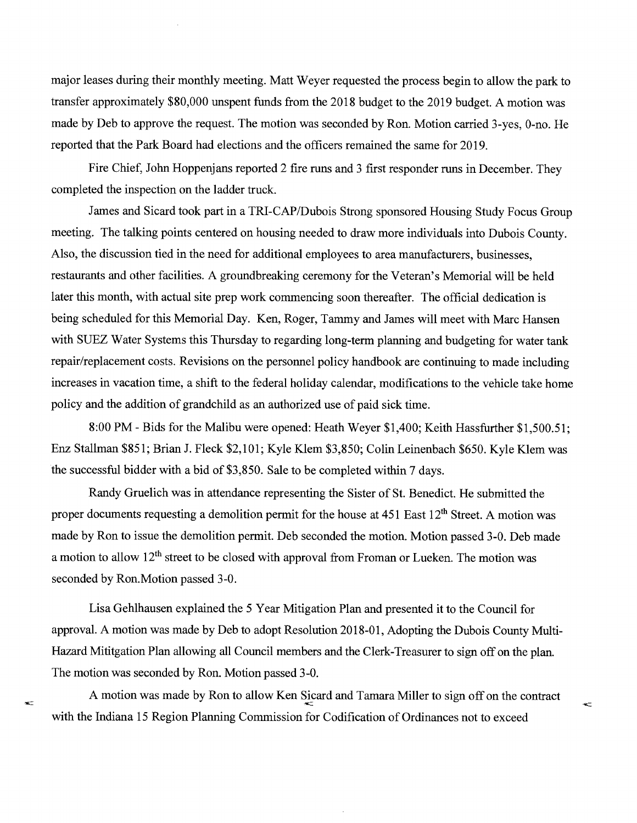major leases during their monthly meeting. Matt Weyer requested the process begin to allow the park to transfer approximately \$80,000 unspent funds from the 2018 budget to the 2019 budget. A motion was made by Deb to approve the request. The motion was seconded by Ron. Motion carried 3-yes, 0-no. He reported that the Park Board had elections and the officers remained the same for 2019.

Fire Chief, John Hoppenjans reported 2 fire runs and 3 first responder runs in December. They completed the inspection on the ladder truck.

James and Sicard took part in a TRI-CAP/Dubois Strong sponsored Housing Study Focus Group meeting. The talking points centered on housing needed to draw more individuals into Dubois County. Also, the discussion tied in the need for additional employees to area manufacturers, businesses, restaurants and other facilities. A groundbreaking ceremony for the Veteran's Memorial will be held later this month, with actual site prep work commencing soon thereafter. The official dedication is being scheduled for this Memorial Day. Ken, Roger, Tammy and James will meet with Marc Hansen with SUEZ Water Systems this Thursday to regarding long-term planning and budgeting for water tank repair/replacement costs. Revisions on the personnel policy handbook are continuing to made including increases in vacation time, a shift to the federal holiday calendar, modifications to the vehicle take home policy and the addition of grandchild as an authorized use of paid sick time.

8:00 PM - Bids for the Malibu were opened: Heath Weyer \$1,400; Keith Hassfurther \$1,500.51; Enz Stallman \$851; Brian J. Fleck \$2,101; Kyle Klem \$3,850; Colin Leinenbach \$650. Kyle Klem was the successful bidder with a bid of \$3,850. Sale to be completed within 7 days.

Randy Gruelich was in attendance representing the Sister of St. Benedict. He submitted the proper documents requesting a demolition permit for the house at  $451$  East  $12<sup>th</sup>$  Street. A motion was made by Ron to issue the demolition permit. Deb seconded the motion. Motion passed 3-0. Deb made a motion to allow  $12<sup>th</sup>$  street to be closed with approval from Froman or Lueken. The motion was seconded by Ron.Motion passed 3-0.

Lisa Gehlhausen explained the 5 Year Mitigation Plan and presented it to the Council for approval. A motion was made by Deb to adopt Resolution 2018-01, Adopting the Dubois County Multi-Hazard Mititgation Plan allowing all Council members and the Clerk-Treasurer to sign off on the plan. The motion was seconded by Ron. Motion passed 3-0.

A motion was made by Ron to allow Ken Sicard and Tamara Miller to sign off on the contract with the Indiana 15 Region Planning Commission for Codification of Ordinances not to exceed

÷

÷.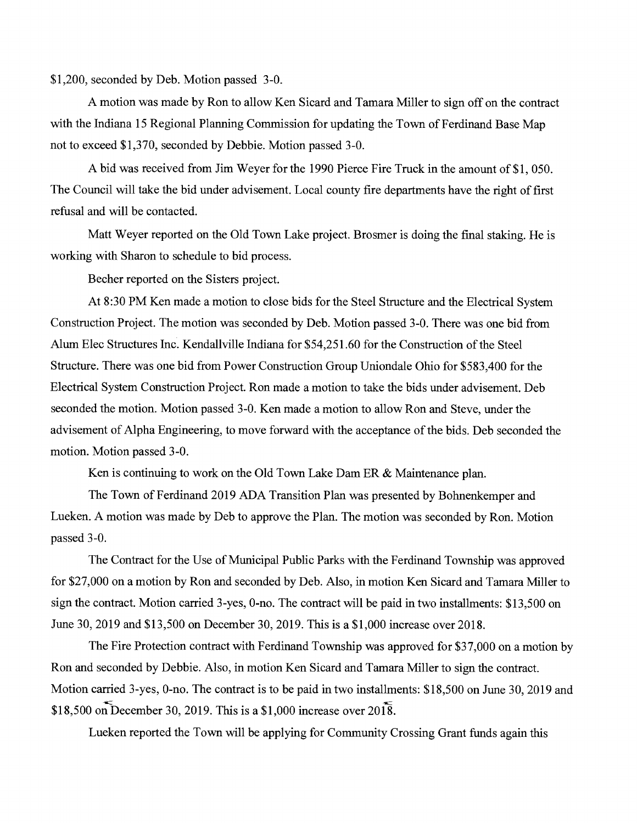\$1,200, seconded by Deb. Motion passed 3-0.

A motion was made by Ron to allow Ken Sicard and Tamara Miller to sign off on the contract with the Indiana 15 Regional Planning Commission for updating the Town of Ferdinand Base Map not to exceed \$1,370, seconded by Debbie. Motion passed 3-0.

A bid was received from Jim Weyer for the 1990 Pierce Fire Truck in the amount of \$1, 050. The Council will take the bid under advisement. Local county fire departments have the right of first refusal and will be contacted.

Matt Weyer reported on the Old Town Lake project. Brosmer is doing the final staking. He is working with Sharon to schedule to bid process.

Becher reported on the Sisters project.

At 8:30 PM Ken made a motion to close bids for the Steel Structure and the Electrical System Construction Project. The motion was seconded by Deb. Motion passed 3-0. There was one bid from Alum Elec Structures Inc. Kendallville Indiana for \$54,251.60 for the Construction of the Steel Structure. There was one bid from Power Construction Group Uniondale Ohio for \$583,400 for the Electrical System Construction Project. Ron made a motion to take the bids under advisement. Deb seconded the motion. Motion passed 3-0. Ken made a motion to allow Ron and Steve, under the advisement of Alpha Engineering, to move forward with the acceptance of the bids. Deb seconded the motion. Motion passed 3-0.

Ken is continuing to work on the Old Town Lake Dam ER  $\&$  Maintenance plan.

The Town of Ferdinand 2019 ADA Transition Plan was presented by Bohnenkemper and Lueken. A motion was made by Deb to approve the Plan. The motion was seconded by Ron. Motion passed 3-0.

The Contract for the Use of Municipal Public Parks with the Ferdinand Township was approved for \$27,000 on a motion by Ron and seconded by Deb. Also, in motion Ken Sicard and Tamara Miller to sign the contract. Motion carried 3-yes, 0-no. The contract will be paid in two installments: \$13,500 on June 30, 2019 and \$13,500 on December 30, 2019. This is a \$1,000 increase over 2018.

The Fire Protection contract with Ferdinand Township was approved for \$37,000 on a motion by Ron and seconded by Debbie. Also, in motion Ken Sicard and Tamara Miller to sign the contract. Motion carried 3-yes, 0-no. The contract is to be paid in two installments: \$18,500 on June 30, 2019 and \$18,500 on December 30, 2019. This is a \$1,000 increase over  $201\overline{8}$ .

Lueken reported the Town will be applying for Community Crossing Grant funds again this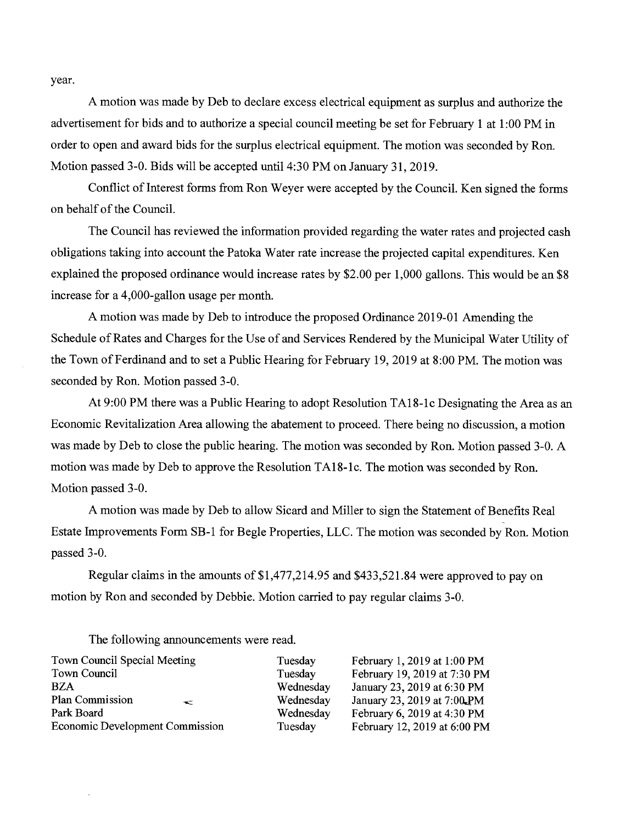year.

A motion was made by Deb to declare excess electrical equipment as surplus and authorize the advertisement for bids and to authorize a special council meeting be set for February 1 at 1:00 PM in order to open and award bids for the surplus electrical equipment. The motion was seconded by Ron. Motion passed 3-0. Bids will be accepted until 4:30 PM on January 31, 2019.

Conflict of Interest forms from Ron Weyer were accepted by the Council. Ken signed the forms on behalf of the Council.

The Council has reviewed the information provided regarding the water rates and projected cash obligations taking into account the Patoka Water rate increase the projected capital expenditures. Ken explained the proposed ordinance would increase rates by \$2.00 per 1,000 gallons. This would be an \$8 increase for a 4,000-gallon usage per month.

A motion was made by Deb to introduce the proposed Ordinance 2019-01 Amending the Schedule of Rates and Charges for the Use of and Services Rendered by the Municipal Water Utility of the Town of Ferdinand and to set a Public Hearing for February 19, 2019 at 8:00 PM. The motion was seconded by Ron. Motion passed 3-0.

At 9:00 PM there was a Public Hearing to adopt Resolution TA18-1c Designating the Area as an Economic Revitalization Area allowing the abatement to proceed. There being no discussion, a motion was made by Deb to close the public hearing. The motion was seconded by Ron. Motion passed 3-0. A motion was made by Deb to approve the Resolution TA18-1c. The motion was seconded by Ron. Motion passed 3-0.

A motion was made by Deb to allow Sicard and Miller to sign the Statement of Benefits Real Estate Improvements Form SB-1 for Begle Properties, LLC. The motion was seconded by Ron. Motion passed 3-0.

Regular claims in the amounts of \$1,477,214.95 and \$433,521.84 were approved to pay on motion by Ron and seconded by Debbie. Motion carried to pay regular claims 3-0.

The following announcements were read.

| Town Council Special Meeting             | Tuesday   | February 1, 2019 at 1:00 PM  |
|------------------------------------------|-----------|------------------------------|
| Town Council                             | Tuesday   | February 19, 2019 at 7:30 PM |
| <b>BZA</b>                               | Wednesday | January 23, 2019 at 6:30 PM  |
| <b>Plan Commission</b><br><b>SECTION</b> | Wednesday | January 23, 2019 at 7:00 PM  |
| Park Board                               | Wednesday | February 6, 2019 at 4:30 PM  |
| <b>Economic Development Commission</b>   | Tuesday   | February 12, 2019 at 6:00 PM |